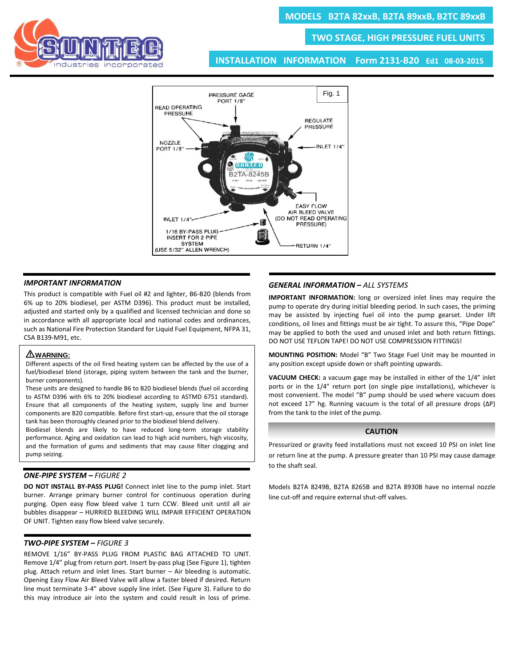**TWO STAGE, HIGH PRESSURE FUEL UNITS**



**INSTALLATION INFORMATION Form 2131-B20 Ed1 08-03-2015**



### *IMPORTANT INFORMATION*

This product is compatible with Fuel oil #2 and lighter, B6-B20 (blends from 6% up to 20% biodiesel, per ASTM D396). This product must be installed, adjusted and started only by a qualified and licensed technician and done so in accordance with all appropriate local and national codes and ordinances, such as National Fire Protection Standard for Liquid Fuel Equipment, NFPA 31, CSA B139-M91, etc.

## I **WARNING:**

Different aspects of the oil fired heating system can be affected by the use of a fuel/biodiesel blend (storage, piping system between the tank and the burner, burner components).

These units are designed to handle B6 to B20 biodiesel blends (fuel oil according to ASTM D396 with 6% to 20% biodiesel according to ASTMD 6751 standard). Ensure that all components of the heating system, supply line and burner components are B20 compatible. Before first start-up, ensure that the oil storage tank has been thoroughly cleaned prior to the biodiesel blend delivery.

Biodiesel blends are likely to have reduced long-term storage stability performance. Aging and oxidation can lead to high acid numbers, high viscosity, and the formation of gums and sediments that may cause filter clogging and pump seizing.

# *ONE-PIPE SYSTEM – FIGURE 2*

**DO NOT INSTALL BY-PASS PLUG!** Connect inlet line to the pump inlet. Start burner. Arrange primary burner control for continuous operation during purging. Open easy flow bleed valve 1 turn CCW. Bleed unit until all air bubbles disappear – HURRIED BLEEDING WILL IMPAIR EFFICIENT OPERATION OF UNIT. Tighten easy flow bleed valve securely.

### *TWO-PIPE SYSTEM – FIGURE 3*

REMOVE 1/16" BY-PASS PLUG FROM PLASTIC BAG ATTACHED TO UNIT. Remove 1/4" plug from return port. Insert by-pass plug (See Figure 1), tighten plug. Attach return and inlet lines. Start burner – Air bleeding is automatic. Opening Easy Flow Air Bleed Valve will allow a faster bleed if desired. Return line must terminate 3-4" above supply line inlet. (See Figure 3). Failure to do this may introduce air into the system and could result in loss of prime.

#### *GENERAL INFORMATION – ALL SYSTEMS*

**IMPORTANT INFORMATION:** long or oversized inlet lines may require the pump to operate dry during initial bleeding period. In such cases, the priming may be assisted by injecting fuel oil into the pump gearset. Under lift conditions, oil lines and fittings must be air tight. To assure this, "Pipe Dope" may be applied to both the used and unused inlet and both return fittings. DO NOT USE TEFLON TAPE! DO NOT USE COMPRESSION FITTINGS!

**MOUNTING POSITION:** Model "B" Two Stage Fuel Unit may be mounted in any position except upside down or shaft pointing upwards.

**VACUUM CHECK:** a vacuum gage may be installed in either of the 1/4" inlet ports or in the 1/4" return port (on single pipe installations), whichever is most convenient. The model "B" pump should be used where vacuum does not exceed 17" hg. Running vacuum is the total of all pressure drops (ΔP) from the tank to the inlet of the pump.

#### **CAUTION**

Pressurized or gravity feed installations must not exceed 10 PSI on inlet line or return line at the pump. A pressure greater than 10 PSI may cause damage to the shaft seal.

Models B2TA 8249B, B2TA 8265B and B2TA 8930B have no internal nozzle line cut-off and require external shut-off valves.